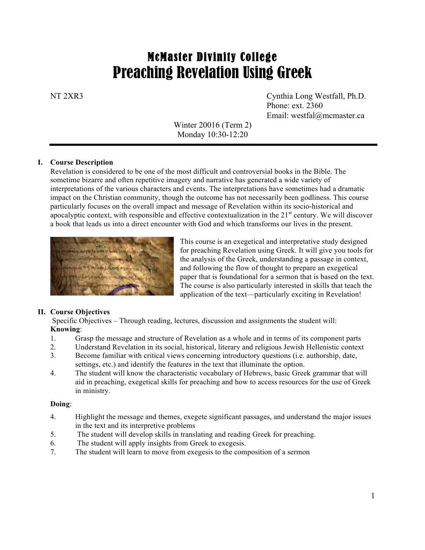# McMaster Divinity College Preaching Revelation Using Greek

NT 2XR3 Cynthia Long Westfall, Ph.D. Phone: ext. 2360 Email: westfal@mcmaster.ca

> Winter 20016 (Term 2) Monday 10:30-12:20

#### **I. Course Description**

Revelation is considered to be one of the most difficult and controversial books in the Bible. The sometime bizarre and often repetitive imagery and narrative has generated a wide variety of interpretations of the various characters and events. The interpretations have sometimes had a dramatic impact on the Christian community, though the outcome has not necessarily been godliness. This course particularly focuses on the overall impact and message of Revelation within its socio-historical and apocalyptic context, with responsible and effective contextualization in the  $21<sup>st</sup>$  century. We will discover a book that leads us into a direct encounter with God and which transforms our lives in the present.



This course is an exegetical and interpretative study designed for preaching Revelation using Greek. It will give you tools for the analysis of the Greek, understanding a passage in context, and following the flow of thought to prepare an exegetical paper that is foundational for a sermon that is based on the text. The course is also particularly interested in skills that teach the application of the text—particularly exciting in Revelation!

#### **II. Course Objectives**

Specific Objectives – Through reading, lectures, discussion and assignments the student will: **Knowing**:

- 1. Grasp the message and structure of Revelation as a whole and in terms of its component parts
- 2. Understand Revelation in its social, historical, literary and religious Jewish Hellenistic context
- 3. Become familiar with critical views concerning introductory questions (i.e. authorship, date, settings, etc.) and identify the features in the text that illuminate the option.
- 4. The student will know the characteristic vocabulary of Hebrews, basic Greek grammar that will aid in preaching, exegetical skills for preaching and how to access resources for the use of Greek in ministry.

#### **Doing**:

- 4. Highlight the message and themes, exegete significant passages, and understand the major issues in the text and its interpretive problems
- 5. The student will develop skills in translating and reading Greek for preaching.
- 6. The student will apply insights from Greek to exegesis.
- 7. The student will learn to move from exegesis to the composition of a sermon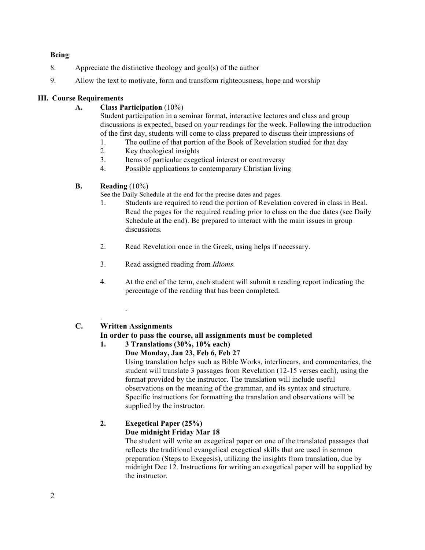#### **Being**:

- 8. Appreciate the distinctive theology and goal(s) of the author
- 9. Allow the text to motivate, form and transform righteousness, hope and worship

#### **III. Course Requirements**

**A. Class Participation** (10%)

Student participation in a seminar format, interactive lectures and class and group discussions is expected, based on your readings for the week. Following the introduction of the first day, students will come to class prepared to discuss their impressions of

- 1. The outline of that portion of the Book of Revelation studied for that day
- 2. Key theological insights
- 3. Items of particular exegetical interest or controversy
- 4. Possible applications to contemporary Christian living
- **B. Reading** (10%)

See the Daily Schedule at the end for the precise dates and pages.

- 1. Students are required to read the portion of Revelation covered in class in Beal. Read the pages for the required reading prior to class on the due dates (see Daily Schedule at the end). Be prepared to interact with the main issues in group discussions.
- 2. Read Revelation once in the Greek, using helps if necessary.
- 3. Read assigned reading from *Idioms.*
- 4. At the end of the term, each student will submit a reading report indicating the percentage of the reading that has been completed.

## **C. Written Assignments**

.

.

## **In order to pass the course, all assignments must be completed**

## **1. 3 Translations (30%, 10% each)**

**Due Monday, Jan 23, Feb 6, Feb 27** Using translation helps such as Bible Works, interlinears, and commentaries, the student will translate 3 passages from Revelation (12-15 verses each), using the format provided by the instructor. The translation will include useful observations on the meaning of the grammar, and its syntax and structure. Specific instructions for formatting the translation and observations will be supplied by the instructor.

## **2. Exegetical Paper (25%)**

## **Due midnight Friday Mar 18**

The student will write an exegetical paper on one of the translated passages that reflects the traditional evangelical exegetical skills that are used in sermon preparation (Steps to Exegesis), utilizing the insights from translation, due by midnight Dec 12. Instructions for writing an exegetical paper will be supplied by the instructor.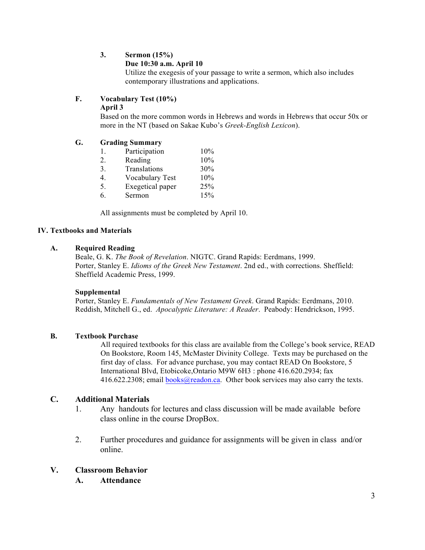## **3. Sermon (15%)**

#### **Due 10:30 a.m. April 10**

Utilize the exegesis of your passage to write a sermon, which also includes contemporary illustrations and applications.

## **F. Vocabulary Test (10%)**

#### **April 3**

Based on the more common words in Hebrews and words in Hebrews that occur 50x or more in the NT (based on Sakae Kubo's *Greek-English Lexicon*).

#### **G. Grading Summary**

| Participation | 10% |
|---------------|-----|
| Reading       | 10% |

- 3. Translations 30%
- 4. Vocabulary Test 10%
- 5. Exegetical paper 25%
- 6. Sermon 15%

All assignments must be completed by April 10.

## **IV. Textbooks and Materials**

#### **A. Required Reading**

Beale, G. K. *The Book of Revelation*. NIGTC. Grand Rapids: Eerdmans, 1999. Porter, Stanley E. *Idioms of the Greek New Testament*. 2nd ed., with corrections. Sheffield: Sheffield Academic Press, 1999.

#### **Supplemental**

Porter, Stanley E. *Fundamentals of New Testament Greek*. Grand Rapids: Eerdmans, 2010. Reddish, Mitchell G., ed. *Apocalyptic Literature: A Reader*. Peabody: Hendrickson, 1995.

#### **B. Textbook Purchase**

All required textbooks for this class are available from the College's book service, READ On Bookstore, Room 145, McMaster Divinity College. Texts may be purchased on the first day of class. For advance purchase, you may contact READ On Bookstore, 5 International Blvd, Etobicoke,Ontario M9W 6H3 : phone 416.620.2934; fax  $416.622.2308$ ; email books@readon.ca. Other book services may also carry the texts.

#### **C. Additional Materials**

- 1. Any handouts for lectures and class discussion will be made available before class online in the course DropBox.
- 2. Further procedures and guidance for assignments will be given in class and/or online.

#### **V. Classroom Behavior**

**A. Attendance**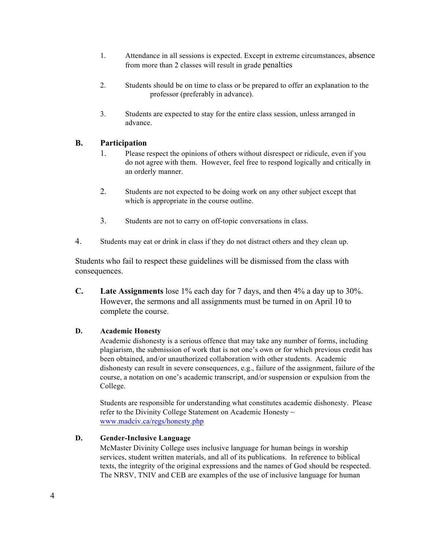- 1. Attendance in all sessions is expected. Except in extreme circumstances, absence from more than 2 classes will result in grade penalties
- 2. Students should be on time to class or be prepared to offer an explanation to the professor (preferably in advance).
- 3. Students are expected to stay for the entire class session, unless arranged in advance.

## **B. Participation**

- 1. Please respect the opinions of others without disrespect or ridicule, even if you do not agree with them. However, feel free to respond logically and critically in an orderly manner.
- 2. Students are not expected to be doing work on any other subject except that which is appropriate in the course outline.
- 3. Students are not to carry on off-topic conversations in class.
- 4. Students may eat or drink in class if they do not distract others and they clean up.

Students who fail to respect these guidelines will be dismissed from the class with consequences.

**C. Late Assignments** lose 1% each day for 7 days, and then 4% a day up to 30%. However, the sermons and all assignments must be turned in on April 10 to complete the course.

#### **D. Academic Honesty**

Academic dishonesty is a serious offence that may take any number of forms, including plagiarism, the submission of work that is not one's own or for which previous credit has been obtained, and/or unauthorized collaboration with other students. Academic dishonesty can result in severe consequences, e.g., failure of the assignment, failure of the course, a notation on one's academic transcript, and/or suspension or expulsion from the College.

Students are responsible for understanding what constitutes academic dishonesty. Please refer to the Divinity College Statement on Academic Honesty  $\sim$ www.madciv.ca/regs/honesty.php

#### **D. Gender-Inclusive Language**

McMaster Divinity College uses inclusive language for human beings in worship services, student written materials, and all of its publications. In reference to biblical texts, the integrity of the original expressions and the names of God should be respected. The NRSV, TNIV and CEB are examples of the use of inclusive language for human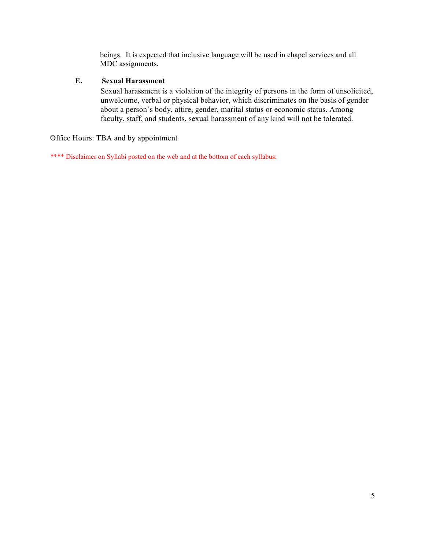beings. It is expected that inclusive language will be used in chapel services and all MDC assignments.

## **E. Sexual Harassment**

Sexual harassment is a violation of the integrity of persons in the form of unsolicited, unwelcome, verbal or physical behavior, which discriminates on the basis of gender about a person's body, attire, gender, marital status or economic status. Among faculty, staff, and students, sexual harassment of any kind will not be tolerated.

Office Hours: TBA and by appointment

\*\*\*\* Disclaimer on Syllabi posted on the web and at the bottom of each syllabus: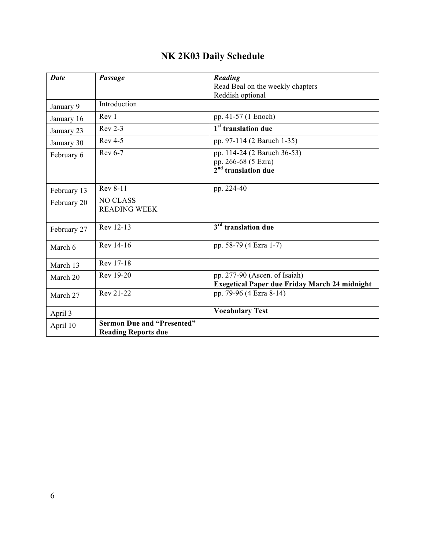| <b>Date</b> | Passage                           | Reading                                                |
|-------------|-----------------------------------|--------------------------------------------------------|
|             |                                   |                                                        |
|             |                                   | Read Beal on the weekly chapters                       |
|             |                                   | Reddish optional                                       |
| January 9   | Introduction                      |                                                        |
| January 16  | Rev 1                             | pp. 41-57 (1 Enoch)                                    |
| January 23  | $Rev 2-3$                         | 1 <sup>st</sup> translation due                        |
| January 30  | <b>Rev 4-5</b>                    | pp. 97-114 (2 Baruch 1-35)                             |
| February 6  | Rev 6-7                           | pp. 114-24 (2 Baruch 36-53)                            |
|             |                                   |                                                        |
|             |                                   | pp. 266-68 (5 Ezra)<br>2 <sup>nd</sup> translation due |
|             |                                   |                                                        |
| February 13 | Rev 8-11                          | pp. 224-40                                             |
| February 20 | <b>NO CLASS</b>                   |                                                        |
|             | <b>READING WEEK</b>               |                                                        |
|             |                                   |                                                        |
| February 27 | Rev 12-13                         | $3rd$ translation due                                  |
|             |                                   |                                                        |
| March 6     | Rev 14-16                         | pp. 58-79 (4 Ezra 1-7)                                 |
|             |                                   |                                                        |
| March 13    | Rev 17-18                         |                                                        |
|             | Rev 19-20                         | pp. 277-90 (Ascen. of Isaiah)                          |
| March 20    |                                   | <b>Exegetical Paper due Friday March 24 midnight</b>   |
|             | Rev 21-22                         | pp. 79-96 (4 Ezra 8-14)                                |
| March 27    |                                   |                                                        |
|             |                                   | <b>Vocabulary Test</b>                                 |
| April 3     |                                   |                                                        |
| April 10    | <b>Sermon Due and "Presented"</b> |                                                        |
|             | <b>Reading Reports due</b>        |                                                        |

## **NK 2K03 Daily Schedule**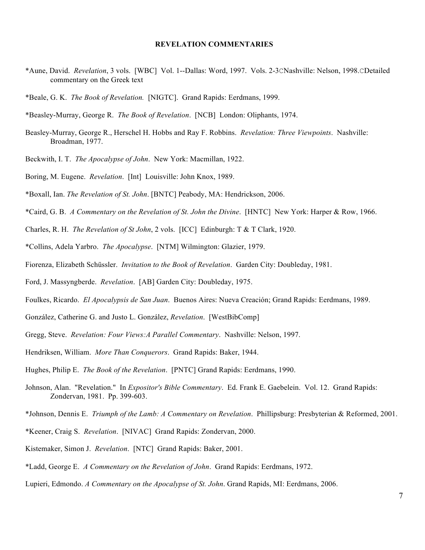#### **REVELATION COMMENTARIES**

- \*Aune, David. *Revelation*, 3 vols. [WBC] Vol. 1--Dallas: Word, 1997. Vols. 2-3CNashville: Nelson, 1998.CDetailed commentary on the Greek text
- \*Beale, G. K. *The Book of Revelation.* [NIGTC]. Grand Rapids: Eerdmans, 1999.

\*Beasley-Murray, George R. *The Book of Revelation*. [NCB] London: Oliphants, 1974.

- Beasley-Murray, George R., Herschel H. Hobbs and Ray F. Robbins. *Revelation: Three Viewpoints*. Nashville: Broadman, 1977.
- Beckwith, I. T. *The Apocalypse of John*. New York: Macmillan, 1922.
- Boring, M. Eugene. *Revelation*. [Int] Louisville: John Knox, 1989.
- \*Boxall, Ian. *The Revelation of St. John*. [BNTC] Peabody, MA: Hendrickson, 2006.
- \*Caird, G. B. *A Commentary on the Revelation of St. John the Divine*. [HNTC] New York: Harper & Row, 1966.
- Charles, R. H. *The Revelation of St John*, 2 vols. [ICC] Edinburgh: T & T Clark, 1920.
- \*Collins, Adela Yarbro. *The Apocalypse*. [NTM] Wilmington: Glazier, 1979.
- Fiorenza, Elizabeth Schüssler. *Invitation to the Book of Revelation*. Garden City: Doubleday, 1981.
- Ford, J. Massyngberde. *Revelation*. [AB] Garden City: Doubleday, 1975.
- Foulkes, Ricardo. *El Apocalypsis de San Juan*. Buenos Aires: Nueva Creación; Grand Rapids: Eerdmans, 1989.
- González, Catherine G. and Justo L. González, *Revelation*. [WestBibComp]
- Gregg, Steve. *Revelation: Four Views:A Parallel Commentary*. Nashville: Nelson, 1997.
- Hendriksen, William. *More Than Conquerors*. Grand Rapids: Baker, 1944.
- Hughes, Philip E. *The Book of the Revelation*. [PNTC] Grand Rapids: Eerdmans, 1990.
- Johnson, Alan. "Revelation." In *Expositor's Bible Commentary*. Ed. Frank E. Gaebelein. Vol. 12. Grand Rapids: Zondervan, 1981. Pp. 399-603.
- \*Johnson, Dennis E. *Triumph of the Lamb: A Commentary on Revelation*. Phillipsburg: Presbyterian & Reformed, 2001.
- \*Keener, Craig S. *Revelation*. [NIVAC] Grand Rapids: Zondervan, 2000.
- Kistemaker, Simon J. *Revelation*. [NTC] Grand Rapids: Baker, 2001.
- \*Ladd, George E. *A Commentary on the Revelation of John*. Grand Rapids: Eerdmans, 1972.
- Lupieri, Edmondo. *A Commentary on the Apocalypse of St. John*. Grand Rapids, MI: Eerdmans, 2006.